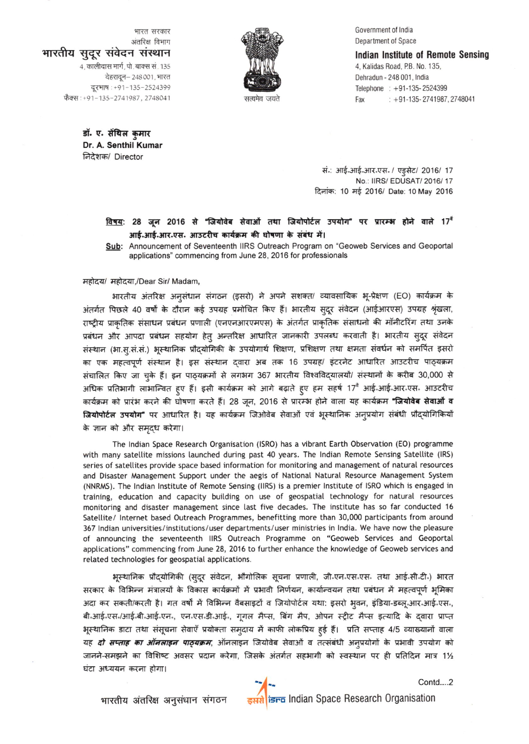Government of lndia Department of Space

4, Kalidas Road, PB. No. 135, Dehradun - 248 001, lndia Telephone : +91-135-2524399

Indian Institute of Remote Sensing

Fax : +91-135- 2741987, 2748041



भारत सरकार <sup>अंतरिक विभाग</sup><br>**आरतीय सुदूर संवेदन संस्थान** 4, कालीदास मार्ग, पो. बाक्स सं. 135 देहरादून- 248 001, भारत दूरभाष: +91-135-2524399 फैक्स: +91-135-2741987, 2748041

> डॉ. ए. सेंथिल कमार Dr. A. Senthil Kumar निदेशक/ Director

सं.: आई.आई.आर.एस. / एड्सेट/ 2016/ 17 No.: llRS/ EDUSAT/ 2016/ 17

दिनांक: 10 मई 2016/ Date: 10 May 2016

## <u>विषय</u>: 28 जून 2016 से "जियोवेब सेवाओं तथा जियोपोर्टल उपयोग" पर प्रारम्भ होने वाले 17<sup>4</sup> आई.आई.आर.एस. आउटरीच कार्यक्रम की घोषणा के संबंध में।

Sub: Announcement of Seventeenth IIRS Outreach Program on "Geoweb Services and Geoportal applications" commencing from June 28, 2016 for professionals

महोदय/ महोदया,/Dear Sir/ Madam,

भारतीय अंतरिक्ष अनुसंधान संगठन (इसरो) ने अपने सशक्त/ व्यावसायिक भू-प्रेक्षण (EO) कार्यक्रम के 3ांतर्गत पिछले 40 वर्षों के दौरान कई उपग्रह प्रमोचित किए हैं। भारतीय सुदूर संवेदन (आईआरएस) उपग्रह श्रृंखला, राष्ट्रीय प्राकृतिक संसाधन प्रबंधन प्रणाली (एनएनआरएमएस) के अंतर्गत प्राकृतिक संसाधनो की मॉनीटरिंग तथा उनके प्रबंधन और आपदा प्रबंधन सहयोग हेत् अन्तरिक्ष आधारित जानकारी उपलब्ध करवाती है। भारतीय सुदूर संवेदन संस्थान (भा.सू.सं.सं.) भूस्थानिक प्रौद्योगिकी के उपयोगार्थ शिक्षण, प्रशिक्षण तथा क्षमता संवर्धन को समर्पित इसरो का एक महत्वपूर्ण संस्थान है। इस संस्थान द्**वारा अब तक 16 उपग्रह/ इंटरनेट आधारित आउ**टरीच पाठ्यक्रम संचालित किए जा चुके हैं। इन पाठ्यक्रमों से लगभग 367 भारतीय विश्वविदयालयों/ संस्थानों के करीब 30,000 से अधिक प्रतिभागी लाभान्वित हुए हैं। इसी कार्यक्रम को आगे बढ़ाते हुए हम सहर्ष 17<sup>वे</sup> आई॰आई॰आर॰एस॰ आउटरीच कार्यक्रम को प्रारंभ करने की घोषणा करते हैं। 28 जून, 2016 से प्रारम्भ होने वाला यह कार्यक्रम **"जियोवेब सेवाओं व जियोपोर्टल उपयोग"** पर आधारित है। यह कार्यक्रम जिओवेब सेवाओं एवं भूस्थानिक अन्प्रयोग संबंधी प्रौदयोगिकियों के ज्ञान को और समृद्ध करेगा।

The lndian Space Research Organisation (ISRO) has a vibrant Earth Observation (EO) programme with many satellite missions launched during past 40 years. The Indian Remote Sensing Satellite (IRS) series of satellites provide space based information for monitoring and management of natural resources and Disaster Management Support under the aegis of National Natural Resource Management System (NNRMS). The Indian Institute of Remote Sensing (IIRS) is a premier Institute of ISRO which is engaged in training, education and capacity building on use of geospatial technology for natural resources monitoring and disaster management since last five decades. The institute has so far conducted <sup>16</sup> Satellite/ Internet based Outreach Programmes, benefitting more than 30,000 participants from around 367 Indian universities/institutions/user departments/user ministries in India. We have now the pleasure of announcing the seventeenth llRS Outreach Programme on "Geoweb Services and Geoportal apptications" commencing from June 26, 2016 to further enhance the knowtedge of Geoweb services and related technologies for geospatial applications.

भूस्थानिक प्रौदयोगिकी (स्**दूर संवेदन, भौगोलिक सूचना प्रणाली, जी**न्एनन्एसन्एसन् तथा आईन्सीन्टीन) भारत सरकार के विभिन्न मंत्रालयों के विकास कार्यक्रमों में प्रभावी निर्णयन, कार्यान्वयन तथा प्रबंधन में महत्वपूर्ण भूमिका 3नदा कर सकती/करती है। गत वर्षों में विभिन्न वैबसाइटों व जियोपोर्टल यथा: इसरो भृवन, इंडिया-डब्लू.आर.आई.एस., बी.आई.एस./आई.बी.आई.एन., एन.एस.डी.आई., गूगल मैप्स, बिंग मैप, ओपन स्ट्रीट मैप्स इत्यादि के द्वारा प्राप्त भूस्थानिक डाटा तथा संसूचना सेवाएँ प्रयोक्ता समृदाय में काफी लोकप्रिय हुई हैं। प्रति सप्ताह 4/5 व्याख्यानों वाला यह *दो सप्ताह का ऑनलाइन पाठ्यक्रम*, ऑनलाइन जियोवेब सेवाओं व तत्संबंधी अनुप्रयोगों के प्रभावी उपयोग को जानने-समझने का विशिष्ट अवसर प्रदान करेगा, जिसके अंतर्गत सहभागी को स्वस्थान पर ही प्रतिदिन मात्र 1½ घंटा अध्ययन करना होगा।

भारतीय अंतरिक्ष अनुसंधान संगठन इसरी *isFE* Indian Space Research Organisation

Contd.....2